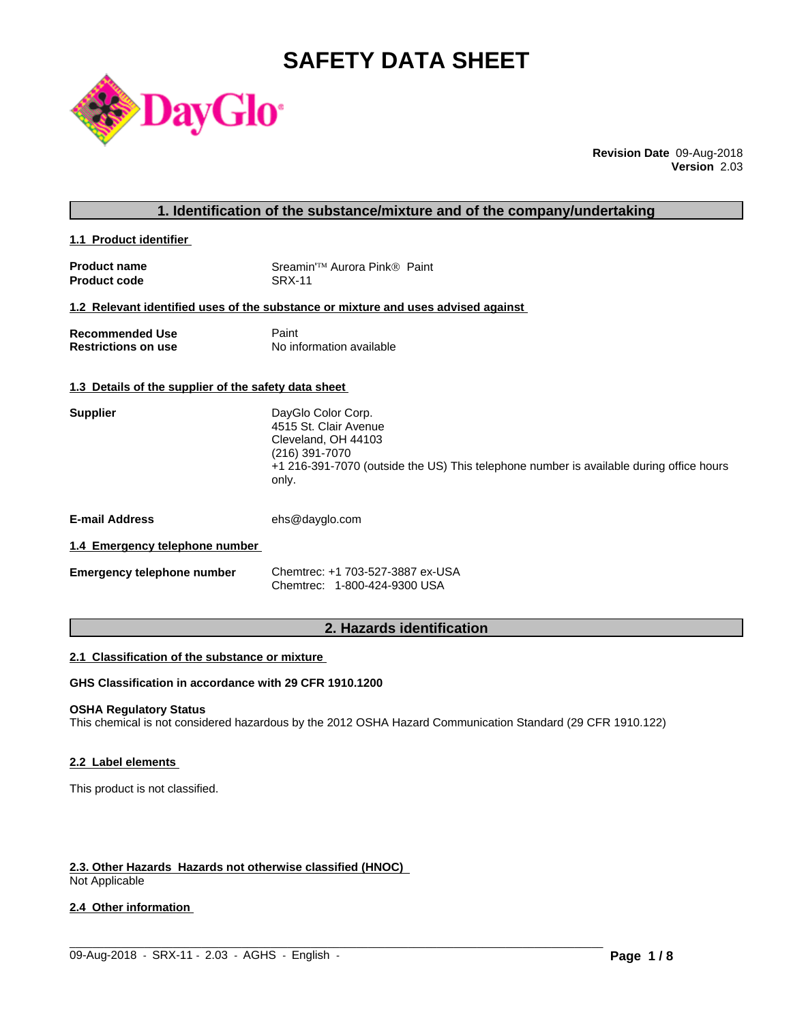# **SAFETY DATA SHEET**



**Revision Date** 09-Aug-2018 **Version** 2.03

| 1. Identification of the substance/mixture and of the company/undertaking |  |
|---------------------------------------------------------------------------|--|
|---------------------------------------------------------------------------|--|

**1.1 Product identifier** 

| <b>Product name</b> | Sreamin <sup>'™</sup> Aurora Pink® Paint |
|---------------------|------------------------------------------|
| <b>Product code</b> | <b>SRX-11</b>                            |

### **1.2 Relevant identified uses of the substance or mixture and uses advised against**

| <b>Recommended Use</b>     | Paint                    |
|----------------------------|--------------------------|
| <b>Restrictions on use</b> | No information available |

### **1.3 Details of the supplier of the safety data sheet**

| <b>Supplier</b> | DayGlo Color Corp.                                                                               |
|-----------------|--------------------------------------------------------------------------------------------------|
|                 | 4515 St. Clair Avenue                                                                            |
|                 | Cleveland, OH 44103                                                                              |
|                 | (216) 391-7070                                                                                   |
|                 | +1 216-391-7070 (outside the US) This telephone number is available during office hours<br>only. |
|                 |                                                                                                  |

**E-mail Address** ehs@dayglo.com

### **1.4 Emergency telephone number**

| <b>Emergency telephone number</b> | Chemtrec: +1 703-527-3887 ex-USA |
|-----------------------------------|----------------------------------|
|                                   | Chemtrec: 1-800-424-9300 USA     |

### **2. Hazards identification**

### **2.1 Classification of the substance or mixture**

### **GHS Classification in accordance with 29 CFR 1910.1200**

### **OSHA Regulatory Status**

This chemical is not considered hazardous by the 2012 OSHA Hazard Communication Standard (29 CFR 1910.122)

 $\_$  ,  $\_$  ,  $\_$  ,  $\_$  ,  $\_$  ,  $\_$  ,  $\_$  ,  $\_$  ,  $\_$  ,  $\_$  ,  $\_$  ,  $\_$  ,  $\_$  ,  $\_$  ,  $\_$  ,  $\_$  ,  $\_$  ,  $\_$  ,  $\_$  ,  $\_$  ,  $\_$  ,  $\_$  ,  $\_$  ,  $\_$  ,  $\_$  ,  $\_$  ,  $\_$  ,  $\_$  ,  $\_$  ,  $\_$  ,  $\_$  ,  $\_$  ,  $\_$  ,  $\_$  ,  $\_$  ,  $\_$  ,  $\_$  ,

### **2.2 Label elements**

This product is not classified.

## **2.3. Other Hazards Hazards not otherwise classified (HNOC)**

Not Applicable

### **2.4 Other information**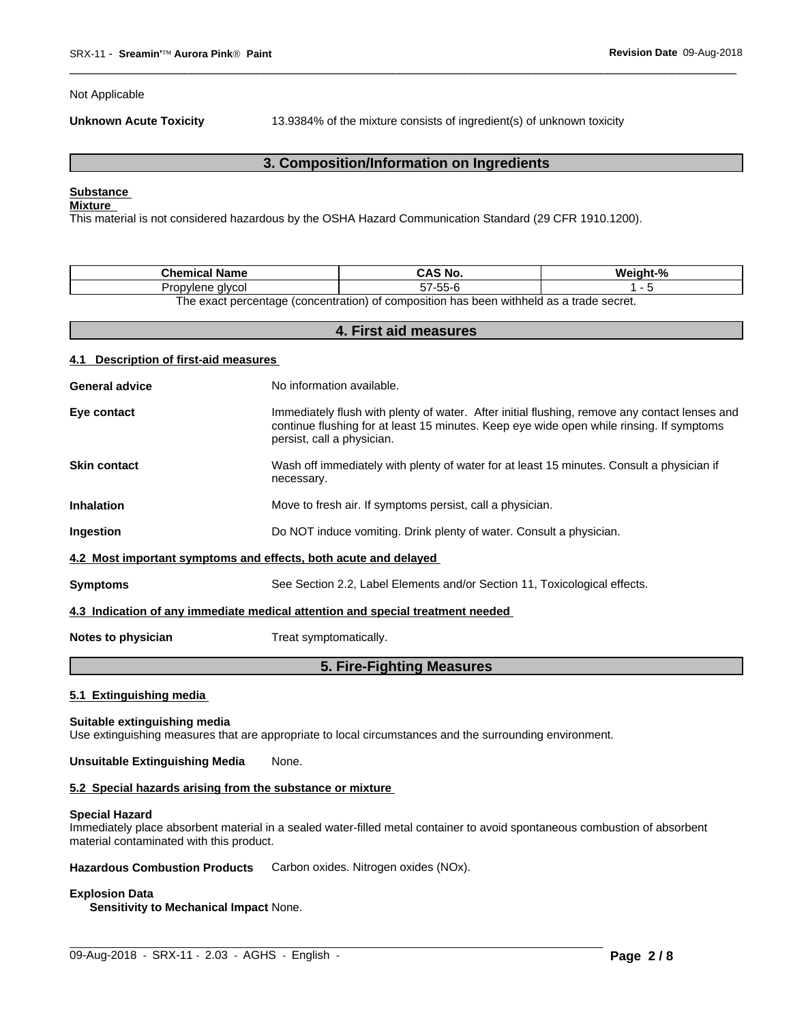Not Applicable

**Unknown Acute Toxicity** 

13.9384% of the mixture consists of ingredient(s) of unknown toxicity

### 3. Composition/Information on Ingredients

### **Substance**

### **Mixture**

This material is not considered hazardous by the OSHA Hazard Communication Standard (29 CFR 1910.1200).

| <b>Name</b><br>Chemical i                                                                 | Mo.<br>$\Lambda$ C | iaht-%<br>We |  |
|-------------------------------------------------------------------------------------------|--------------------|--------------|--|
| alvcol<br>Propviene<br>rop                                                                | -- ^<br>¬7-55-v    |              |  |
| The curative contrast from contration) of composition has been withheld as a trade accept |                    |              |  |

The exact percentage (concentration) of composition has been withheld as a trade secret.  $\overline{a}$  and  $\overline{a}$  and  $\overline{a}$  and  $\overline{a}$  and  $\overline{a}$ 

| 4. FIrst ald measures                                                          |                                                                                                                                                                                                                         |  |  |  |
|--------------------------------------------------------------------------------|-------------------------------------------------------------------------------------------------------------------------------------------------------------------------------------------------------------------------|--|--|--|
| 4.1 Description of first-aid measures                                          |                                                                                                                                                                                                                         |  |  |  |
| <b>General advice</b>                                                          | No information available.                                                                                                                                                                                               |  |  |  |
| Eye contact                                                                    | Immediately flush with plenty of water. After initial flushing, remove any contact lenses and<br>continue flushing for at least 15 minutes. Keep eye wide open while rinsing. If symptoms<br>persist, call a physician. |  |  |  |
| <b>Skin contact</b>                                                            | Wash off immediately with plenty of water for at least 15 minutes. Consult a physician if<br>necessary.                                                                                                                 |  |  |  |
| <b>Inhalation</b>                                                              | Move to fresh air. If symptoms persist, call a physician.                                                                                                                                                               |  |  |  |
| Ingestion                                                                      | Do NOT induce vomiting. Drink plenty of water. Consult a physician.                                                                                                                                                     |  |  |  |
| 4.2 Most important symptoms and effects, both acute and delayed                |                                                                                                                                                                                                                         |  |  |  |
| <b>Symptoms</b>                                                                | See Section 2.2, Label Elements and/or Section 11, Toxicological effects.                                                                                                                                               |  |  |  |
| 4.3 Indication of any immediate medical attention and special treatment needed |                                                                                                                                                                                                                         |  |  |  |
| Notes to physician                                                             | Treat symptomatically.                                                                                                                                                                                                  |  |  |  |
| 5. Fire-Fighting Measures                                                      |                                                                                                                                                                                                                         |  |  |  |

#### 5.1 Extinguishing media

#### Suitable extinguishing media

Use extinguishing measures that are appropriate to local circumstances and the surrounding environment.

#### None. **Unsuitable Extinguishing Media**

### 5.2 Special hazards arising from the substance or mixture

#### **Special Hazard**

Immediately place absorbent material in a sealed water-filled metal container to avoid spontaneous combustion of absorbent material contaminated with this product.

**Hazardous Combustion Products** Carbon oxides. Nitrogen oxides (NOx).

### **Explosion Data**

Sensitivity to Mechanical Impact None.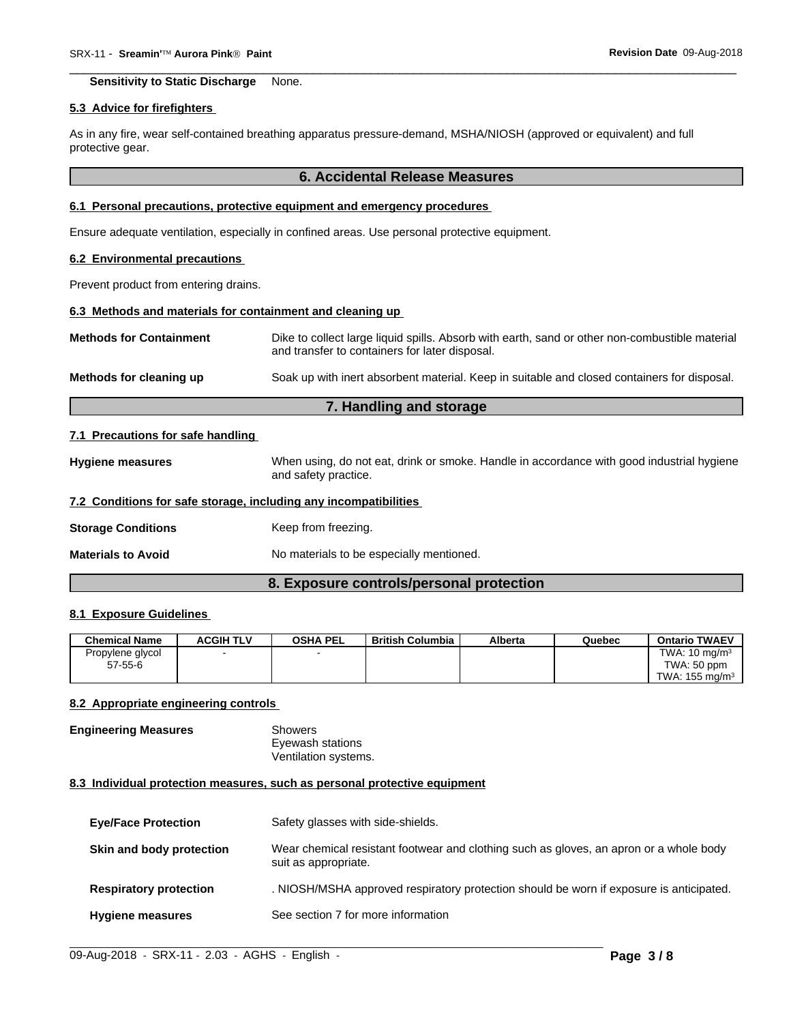**Sensitivity to Static Discharge** None.

### 5.3 Advice for firefighters

As in any fire, wear self-contained breathing apparatus pressure-demand, MSHA/NIOSH (approved or equivalent) and full protective gear.

### **6. Accidental Release Measures**

### 6.1 Personal precautions, protective equipment and emergency procedures

Ensure adequate ventilation, especially in confined areas. Use personal protective equipment.

### 6.2 Environmental precautions

Prevent product from entering drains.

### 6.3 Methods and materials for containment and cleaning up

| <b>Methods for Containment</b> | Dike to collect large liquid spills. Absorb with earth, sand or other non-combustible material<br>and transfer to containers for later disposal. |
|--------------------------------|--------------------------------------------------------------------------------------------------------------------------------------------------|
| Methods for cleaning up        | Soak up with inert absorbent material. Keep in suitable and closed containers for disposal.                                                      |

### 7. Handling and storage

### 7.1 Precautions for safe handling

When using, do not eat, drink or smoke. Handle in accordance with good industrial hygiene **Hygiene measures** and safety practice.

### 7.2 Conditions for safe storage, including any incompatibilities

**Storage Conditions** Keep from freezing.

No materials to be especially mentioned. **Materials to Avoid** 

### 8. Exposure controls/personal protection

### 8.1 Exposure Guidelines

| <b>Chemical Name</b> | <b>ACGIH TLV</b> | <b>OSHA PEL</b> | <b>British Columbia</b> | Alberta | Quebec | <b>Ontario TWAEV</b>      |
|----------------------|------------------|-----------------|-------------------------|---------|--------|---------------------------|
| Propylene glycol     |                  |                 |                         |         |        | TWA: $10 \text{ ma/m}^3$  |
| $57 - 55 - 6$        |                  |                 |                         |         |        | TWA: 50 ppm               |
|                      |                  |                 |                         |         |        | TWA: $155 \text{ ma/m}^3$ |

### 8.2 Appropriate engineering controls

**Engineering Measures** Showers Eyewash stations Ventilation systems.

### 8.3 Individual protection measures, such as personal protective equipment

| <b>Eye/Face Protection</b>    | Safety glasses with side-shields.                                                                              |
|-------------------------------|----------------------------------------------------------------------------------------------------------------|
| Skin and body protection      | Wear chemical resistant footwear and clothing such as gloves, an apron or a whole body<br>suit as appropriate. |
| <b>Respiratory protection</b> | . NIOSH/MSHA approved respiratory protection should be worn if exposure is anticipated.                        |
| <b>Hygiene measures</b>       | See section 7 for more information                                                                             |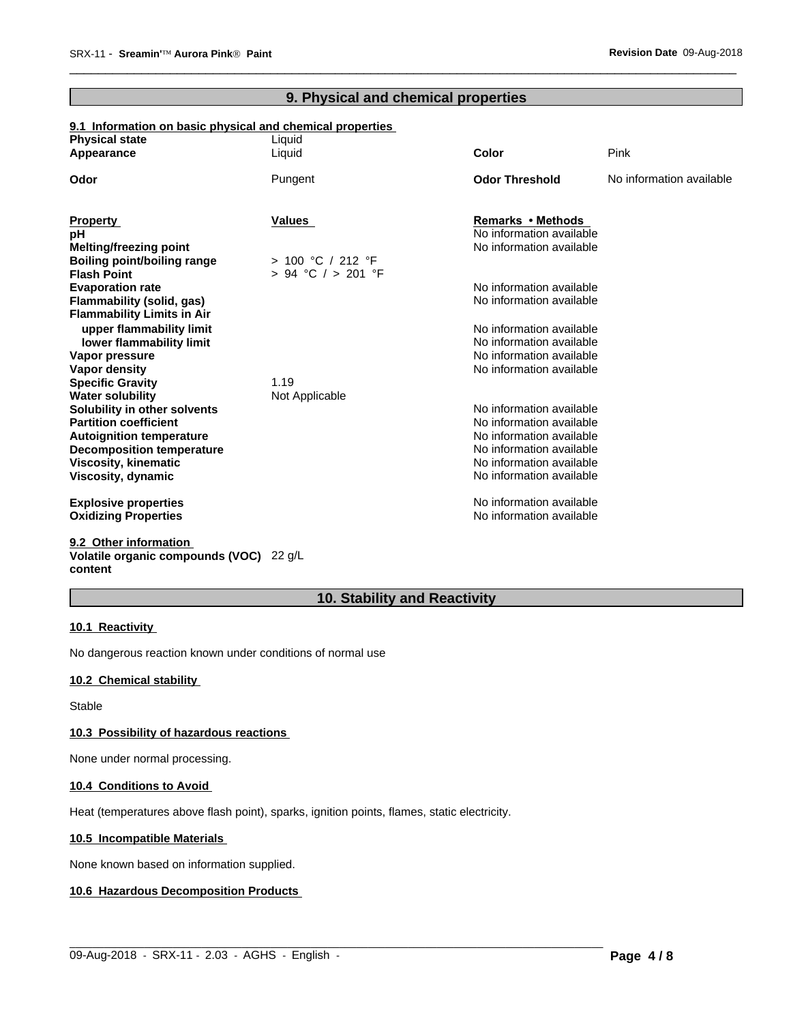### **9. Physical and chemical properties**

 $\overline{\phantom{a}}$  ,  $\overline{\phantom{a}}$  ,  $\overline{\phantom{a}}$  ,  $\overline{\phantom{a}}$  ,  $\overline{\phantom{a}}$  ,  $\overline{\phantom{a}}$  ,  $\overline{\phantom{a}}$  ,  $\overline{\phantom{a}}$  ,  $\overline{\phantom{a}}$  ,  $\overline{\phantom{a}}$  ,  $\overline{\phantom{a}}$  ,  $\overline{\phantom{a}}$  ,  $\overline{\phantom{a}}$  ,  $\overline{\phantom{a}}$  ,  $\overline{\phantom{a}}$  ,  $\overline{\phantom{a}}$ 

# **9.1 Information on basic physical and chemical properties**

| <b>Physical state</b>              | Liquid             |                          |                          |
|------------------------------------|--------------------|--------------------------|--------------------------|
| Appearance                         | Liquid             | <b>Color</b>             | Pink                     |
| Odor                               | Pungent            | <b>Odor Threshold</b>    | No information available |
|                                    |                    |                          |                          |
| <b>Property</b>                    | <b>Values</b>      | Remarks • Methods        |                          |
| рH                                 |                    | No information available |                          |
| Melting/freezing point             |                    | No information available |                          |
| <b>Boiling point/boiling range</b> | > 100 °C / 212 °F  |                          |                          |
| <b>Flash Point</b>                 | > 94 °C / > 201 °F |                          |                          |
| <b>Evaporation rate</b>            |                    | No information available |                          |
| Flammability (solid, gas)          |                    | No information available |                          |
| <b>Flammability Limits in Air</b>  |                    |                          |                          |
| upper flammability limit           |                    | No information available |                          |
| lower flammability limit           |                    | No information available |                          |
| Vapor pressure                     |                    | No information available |                          |
| Vapor density                      |                    | No information available |                          |
| <b>Specific Gravity</b>            | 1.19               |                          |                          |
| <b>Water solubility</b>            | Not Applicable     |                          |                          |
| Solubility in other solvents       |                    | No information available |                          |
| <b>Partition coefficient</b>       |                    | No information available |                          |
| <b>Autoignition temperature</b>    |                    | No information available |                          |
| <b>Decomposition temperature</b>   |                    | No information available |                          |
| <b>Viscosity, kinematic</b>        |                    | No information available |                          |
| Viscosity, dynamic                 |                    | No information available |                          |
| <b>Explosive properties</b>        |                    | No information available |                          |
| <b>Oxidizing Properties</b>        |                    | No information available |                          |
|                                    |                    |                          |                          |

#### **9.2 Other information Volatile organic compounds (VOC)** 22 g/L **content**

### **10. Stability and Reactivity**

 $\_$  ,  $\_$  ,  $\_$  ,  $\_$  ,  $\_$  ,  $\_$  ,  $\_$  ,  $\_$  ,  $\_$  ,  $\_$  ,  $\_$  ,  $\_$  ,  $\_$  ,  $\_$  ,  $\_$  ,  $\_$  ,  $\_$  ,  $\_$  ,  $\_$  ,  $\_$  ,  $\_$  ,  $\_$  ,  $\_$  ,  $\_$  ,  $\_$  ,  $\_$  ,  $\_$  ,  $\_$  ,  $\_$  ,  $\_$  ,  $\_$  ,  $\_$  ,  $\_$  ,  $\_$  ,  $\_$  ,  $\_$  ,  $\_$  ,

### **10.1 Reactivity**

No dangerous reaction known under conditions of normal use

### **10.2 Chemical stability**

Stable

### **10.3 Possibility of hazardous reactions**

None under normal processing.

### **10.4 Conditions to Avoid**

Heat (temperatures above flash point), sparks, ignition points, flames, static electricity.

### **10.5 Incompatible Materials**

None known based on information supplied.

### **10.6 Hazardous Decomposition Products**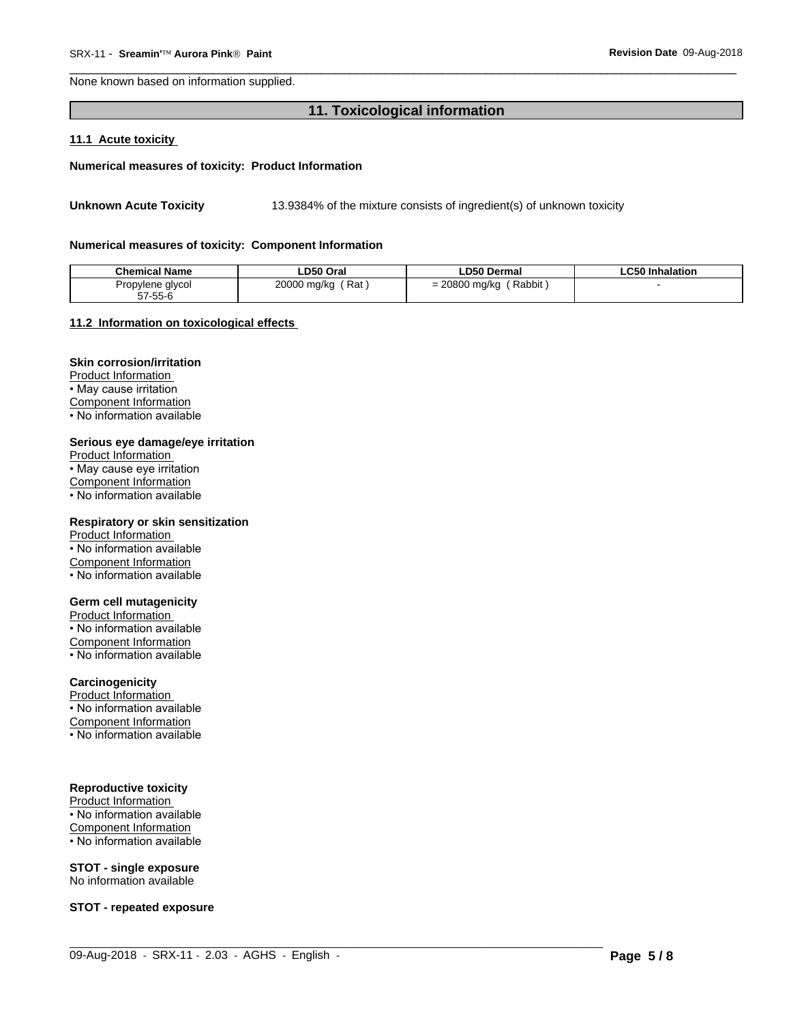None known based on information supplied.

### 11. Toxicological information

### 11.1 Acute toxicity

### Numerical measures of toxicity: Product Information

13.9384% of the mixture consists of ingredient(s) of unknown toxicity **Unknown Acute Toxicity** 

#### Numerical measures of toxicity: Component Information

| <b>Chemical Name</b> | LD50 Oral           | ∟D50 Dermal           | <b>LC50 Inhalation</b> |
|----------------------|---------------------|-----------------------|------------------------|
| Propylene glycol     | 20000 mg/kg<br>ˈRat | Rabbit<br>20800 mg/kg |                        |
| 57-55-6              |                     |                       |                        |

#### 11.2 Information on toxicological effects

### **Skin corrosion/irritation**

Product Information • May cause irritation **Component Information** . No information available

#### Serious eye damage/eye irritation

Product Information • May cause eye irritation **Component Information** • No information available

#### Respiratory or skin sensitization

Product Information • No information available Component Information • No information available

### **Germ cell mutagenicity**

Product Information • No information available Component Information • No information available

### Carcinogenicity

Product Information • No information available Component Information

• No information available

### **Reproductive toxicity**

Product Information • No information available Component Information • No information available

# **STOT - single exposure**

No information available

**STOT - repeated exposure**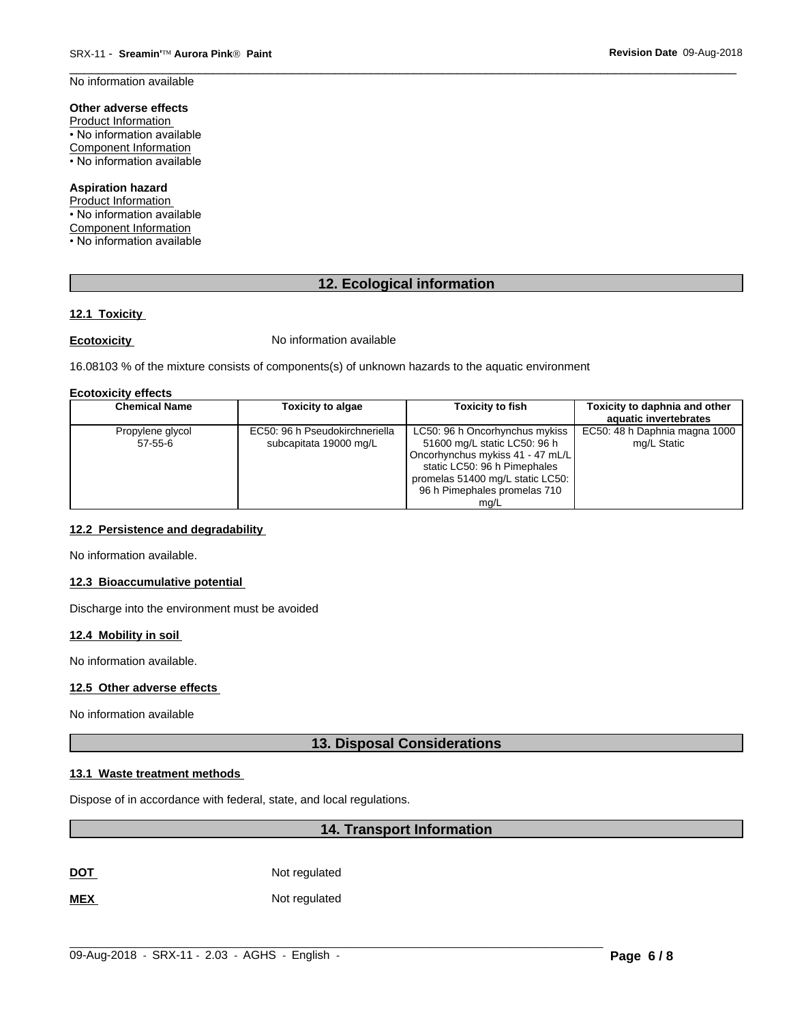No information available

### Other adverse effects

Product Information • No information available **Component Information** • No information available

### **Aspiration hazard**

Product Information • No information available Component Information • No information available

### 12. Ecological information

### 12.1 Toxicity

### **Ecotoxicity**

No information available

16.08103 % of the mixture consists of components(s) of unknown hazards to the aquatic environment

### **Ecotoxicity effects**

| <b>Chemical Name</b>          | <b>Toxicity to algae</b>                                 | <b>Toxicity to fish</b>                                                                                                                                                                                        | Toxicity to daphnia and other<br>aquatic invertebrates |
|-------------------------------|----------------------------------------------------------|----------------------------------------------------------------------------------------------------------------------------------------------------------------------------------------------------------------|--------------------------------------------------------|
| Propylene glycol<br>$57-55-6$ | EC50: 96 h Pseudokirchneriella<br>subcapitata 19000 mg/L | LC50: 96 h Oncorhynchus mykiss<br>51600 mg/L static LC50: 96 h<br>Oncorhynchus mykiss 41 - 47 mL/L<br>static LC50: 96 h Pimephales<br>promelas 51400 mg/L static LC50:<br>96 h Pimephales promelas 710<br>ma/L | EC50: 48 h Daphnia magna 1000<br>mg/L Static           |

### 12.2 Persistence and degradability

No information available.

### 12.3 Bioaccumulative potential

Discharge into the environment must be avoided

### 12.4 Mobility in soil

No information available.

### 12.5 Other adverse effects

No information available

### **13. Disposal Considerations**

### 13.1 Waste treatment methods

Dispose of in accordance with federal, state, and local regulations.

### 14. Transport Information

Not regulated **DOT** 

**MEX** Not regulated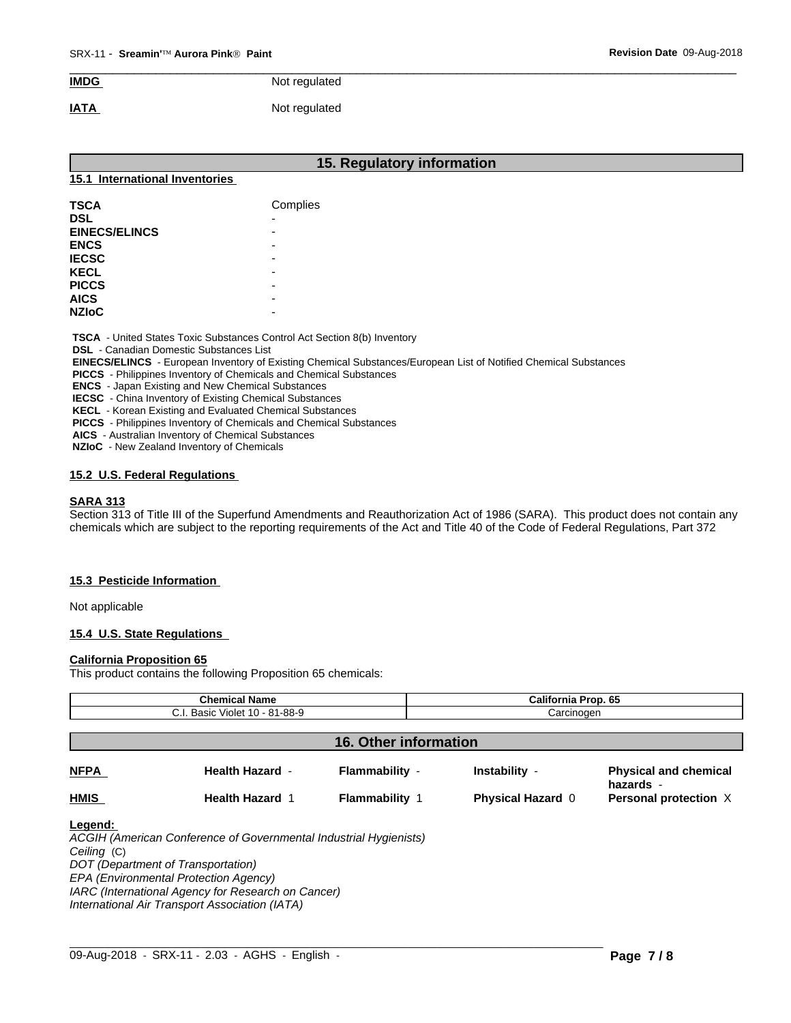#### **IMDG** Not regulated

#### **IATA** Not regulated

| 15. Regulatory information     |          |  |  |  |  |
|--------------------------------|----------|--|--|--|--|
| 15.1 International Inventories |          |  |  |  |  |
| <b>TSCA</b>                    | Complies |  |  |  |  |
| <b>DSL</b>                     |          |  |  |  |  |
| <b>EINECS/ELINCS</b>           |          |  |  |  |  |
| <b>ENCS</b>                    |          |  |  |  |  |
| <b>IECSC</b>                   |          |  |  |  |  |
| <b>KECL</b>                    |          |  |  |  |  |
| <b>PICCS</b>                   |          |  |  |  |  |
| <b>AICS</b>                    |          |  |  |  |  |
| <b>NZIOC</b>                   |          |  |  |  |  |

**DSL** - Canadian Domestic Substances List

EINECS/ELINCS - European Inventory of Existing Chemical Substances/European List of Notified Chemical Substances

PICCS - Philippines Inventory of Chemicals and Chemical Substances

**ENCS** - Japan Existing and New Chemical Substances

**IECSC** - China Inventory of Existing Chemical Substances

KECL - Korean Existing and Evaluated Chemical Substances

**PICCS** - Philippines Inventory of Chemicals and Chemical Substances

AICS - Australian Inventory of Chemical Substances

NZIoC - New Zealand Inventory of Chemicals

### 15.2 U.S. Federal Regulations

### **SARA 313**

Section 313 of Title III of the Superfund Amendments and Reauthorization Act of 1986 (SARA). This product does not contain any chemicals which are subject to the reporting requirements of the Act and Title 40 of the Code of Federal Regulations, Part 372

### 15.3 Pesticide Information

Not applicable

### 15.4 U.S. State Regulations

### **California Proposition 65**

This product contains the following Proposition 65 chemicals:

| <b>Chemical Name</b><br>C.I. Basic Violet 10 - 81-88-9 |                                                                                                         |                              | <b>California Prop. 65</b><br>Carcinogen |                                           |  |
|--------------------------------------------------------|---------------------------------------------------------------------------------------------------------|------------------------------|------------------------------------------|-------------------------------------------|--|
|                                                        |                                                                                                         |                              |                                          |                                           |  |
|                                                        |                                                                                                         | <b>16. Other information</b> |                                          |                                           |  |
| <b>NFPA</b>                                            | <b>Health Hazard -</b>                                                                                  | Flammability -               | Instability -                            | <b>Physical and chemical</b><br>hazards - |  |
| <b>HMIS</b>                                            | <b>Health Hazard 1</b>                                                                                  | <b>Flammability 1</b>        | <b>Physical Hazard 0</b>                 | Personal protection X                     |  |
| Legend:<br>Ceiling (C)                                 | ACGIH (American Conference of Governmental Industrial Hygienists)<br>DOT (Department of Transportation) |                              |                                          |                                           |  |
|                                                        | EPA (Environmental Protection Agency)                                                                   |                              |                                          |                                           |  |
|                                                        | IARC (International Agency for Research on Cancer)                                                      |                              |                                          |                                           |  |

International Air Transport Association (IATA)